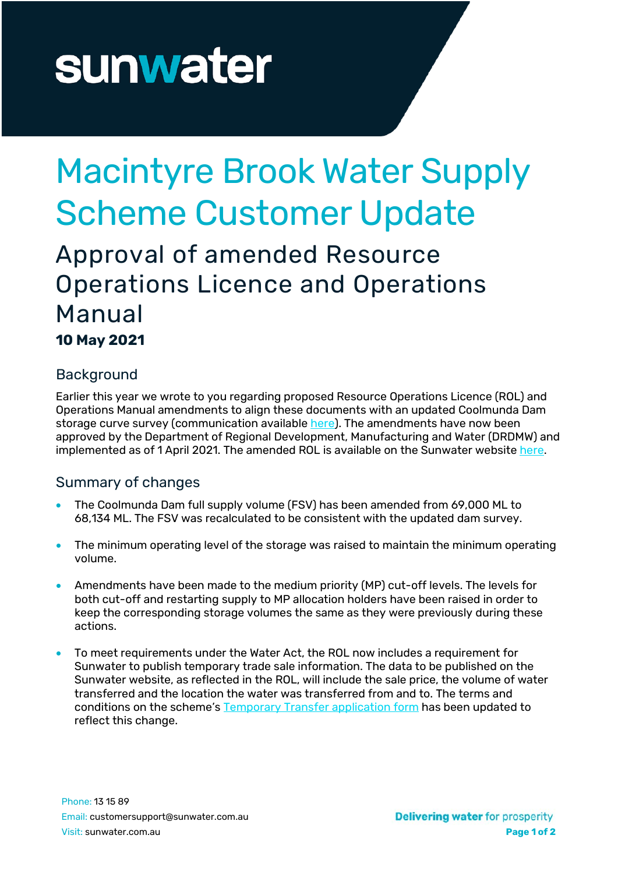# sunwater

## Macintyre Brook Water Supply Scheme Customer Update

### Approval of amended Resource Operations Licence and Operations Manual

**10 May 2021**

#### **Background**

Earlier this year we wrote to you regarding proposed Resource Operations Licence (ROL) and Operations Manual amendments to align these documents with an updated Coolmunda Dam storage curve survey (communication available [here\)](https://www.sunwater.com.au/wp-content/uploads/Home/Schemes/Macintyre-Brook/Customer_Update_-_Sunwater_application_to_DRDMW_for_ROL_amendment_-_Macintyre_Brook_WSS_15022021.pdf). The amendments have now been approved by the Department of Regional Development, Manufacturing and Water (DRDMW) and implemented as of 1 April 2021. The amended ROL is available on the Sunwater website [here.](https://www.sunwater.com.au/wp-content/uploads/Home/Schemes/Macintyre-Brook/ROL_Macintyre_Brook_amended.PDF)

#### Summary of changes

- The Coolmunda Dam full supply volume (FSV) has been amended from 69,000 ML to 68,134 ML. The FSV was recalculated to be consistent with the updated dam survey.
- The minimum operating level of the storage was raised to maintain the minimum operating volume.
- Amendments have been made to the medium priority (MP) cut-off levels. The levels for both cut-off and restarting supply to MP allocation holders have been raised in order to keep the corresponding storage volumes the same as they were previously during these actions.
- To meet requirements under the Water Act, the ROL now includes a requirement for Sunwater to publish temporary trade sale information. The data to be published on the Sunwater website, as reflected in the ROL, will include the sale price, the volume of water transferred and the location the water was transferred from and to. The terms and conditions on the scheme's [Temporary](https://www.sunwater.com.au/wp-content/uploads/Home/Customer/Forms/Application_for_Temporary_Transfer_-_Macintyre_Brook_WSS_Customer_Form.pdf) Transfer application form has been updated to reflect this change.